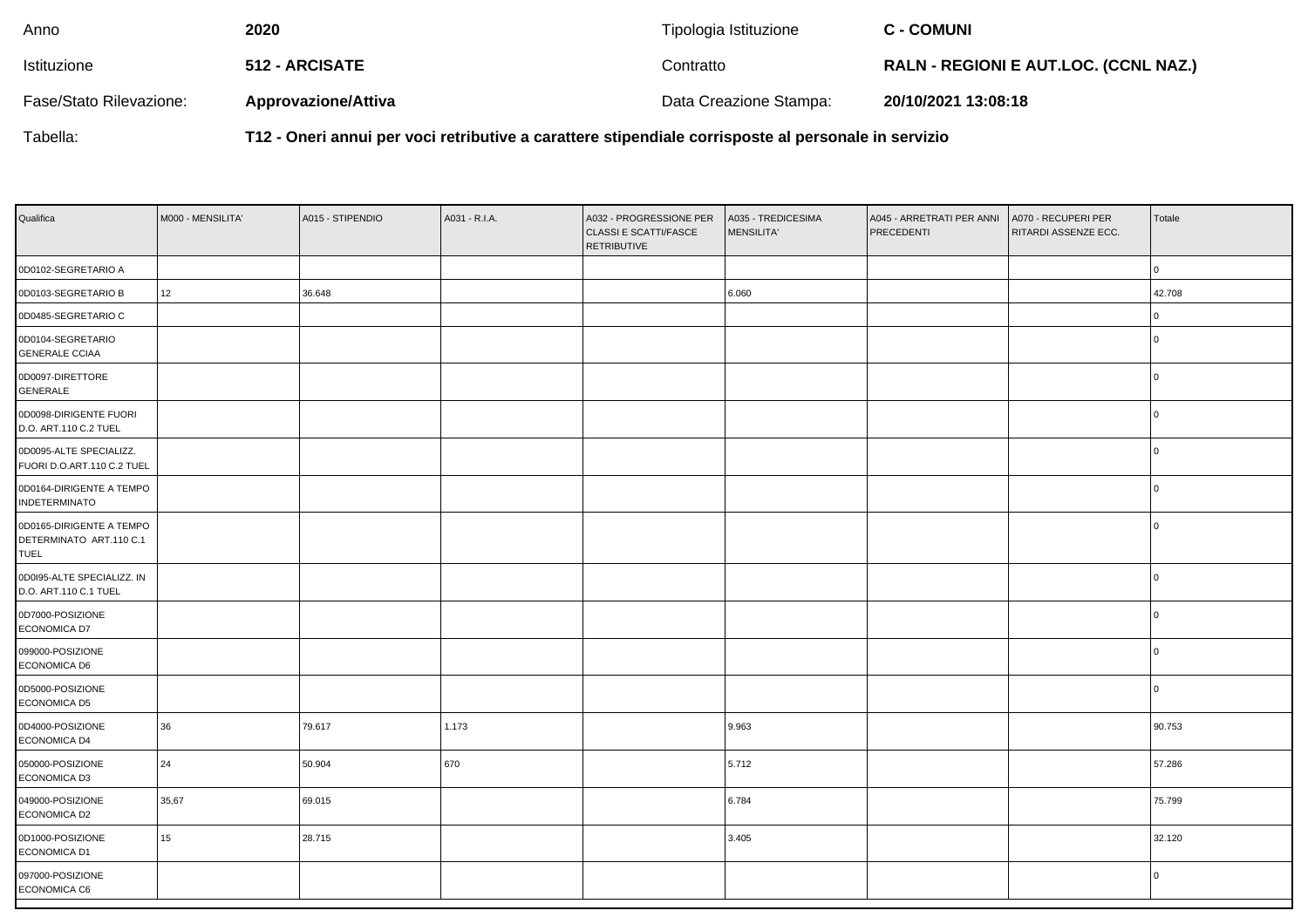| Anno                    | 2020                       | Tipologia Istituzione  | <b>C - COMUNI</b>                            |
|-------------------------|----------------------------|------------------------|----------------------------------------------|
| Istituzione             | 512 - ARCISATE             | Contratto              | <b>RALN - REGIONI E AUT.LOC. (CCNL NAZ.)</b> |
| Fase/Stato Rilevazione: | <b>Approvazione/Attiva</b> | Data Creazione Stampa: | 20/10/2021 13:08:18                          |

Tabella:

**T12 - Oneri annui per voci retributive a carattere stipendiale corrisposte al personale in servizio**

| Qualifica                                                          | M000 - MENSILITA' | A015 - STIPENDIO | A031 - R.I.A. | A032 - PROGRESSIONE PER<br>CLASSI E SCATTI/FASCE<br><b>RETRIBUTIVE</b> | A035 - TREDICESIMA<br><b>MENSILITA'</b> | A045 - ARRETRATI PER ANNI<br>PRECEDENTI | A070 - RECUPERI PER<br>RITARDI ASSENZE ECC. | Totale   |
|--------------------------------------------------------------------|-------------------|------------------|---------------|------------------------------------------------------------------------|-----------------------------------------|-----------------------------------------|---------------------------------------------|----------|
| 0D0102-SEGRETARIO A                                                |                   |                  |               |                                                                        |                                         |                                         |                                             | 0        |
| 0D0103-SEGRETARIO B                                                | 12                | 36.648           |               |                                                                        | 6.060                                   |                                         |                                             | 42.708   |
| 0D0485-SEGRETARIO C                                                |                   |                  |               |                                                                        |                                         |                                         |                                             | 0 I      |
| 0D0104-SEGRETARIO<br><b>GENERALE CCIAA</b>                         |                   |                  |               |                                                                        |                                         |                                         |                                             | $\Omega$ |
| 0D0097-DIRETTORE<br>GENERALE                                       |                   |                  |               |                                                                        |                                         |                                         |                                             | $\Omega$ |
| 0D0098-DIRIGENTE FUORI<br>D.O. ART.110 C.2 TUEL                    |                   |                  |               |                                                                        |                                         |                                         |                                             | $\Omega$ |
| 0D0095-ALTE SPECIALIZZ.<br>FUORI D.O.ART.110 C.2 TUEL              |                   |                  |               |                                                                        |                                         |                                         |                                             | $\Omega$ |
| 0D0164-DIRIGENTE A TEMPO<br><b>INDETERMINATO</b>                   |                   |                  |               |                                                                        |                                         |                                         |                                             | $\cap$   |
| 0D0165-DIRIGENTE A TEMPO<br>DETERMINATO ART.110 C.1<br><b>TUEL</b> |                   |                  |               |                                                                        |                                         |                                         |                                             |          |
| 0D0I95-ALTE SPECIALIZZ. IN<br>D.O. ART.110 C.1 TUEL                |                   |                  |               |                                                                        |                                         |                                         |                                             | l N      |
| 0D7000-POSIZIONE<br>ECONOMICA D7                                   |                   |                  |               |                                                                        |                                         |                                         |                                             | l N      |
| 099000-POSIZIONE<br>ECONOMICA D6                                   |                   |                  |               |                                                                        |                                         |                                         |                                             | l N      |
| 0D5000-POSIZIONE<br>ECONOMICA D5                                   |                   |                  |               |                                                                        |                                         |                                         |                                             | l N      |
| 0D4000-POSIZIONE<br>ECONOMICA D4                                   | 36                | 79.617           | 1.173         |                                                                        | 9.963                                   |                                         |                                             | 90.753   |
| 050000-POSIZIONE<br>ECONOMICA D3                                   | 24                | 50.904           | 670           |                                                                        | 5.712                                   |                                         |                                             | 57.286   |
| 049000-POSIZIONE<br>ECONOMICA D2                                   | 35,67             | 69.015           |               |                                                                        | 6.784                                   |                                         |                                             | 75.799   |
| 0D1000-POSIZIONE<br>ECONOMICA D1                                   | 15                | 28.715           |               |                                                                        | 3.405                                   |                                         |                                             | 32.120   |
| 097000-POSIZIONE<br>ECONOMICA C6                                   |                   |                  |               |                                                                        |                                         |                                         |                                             | $\Omega$ |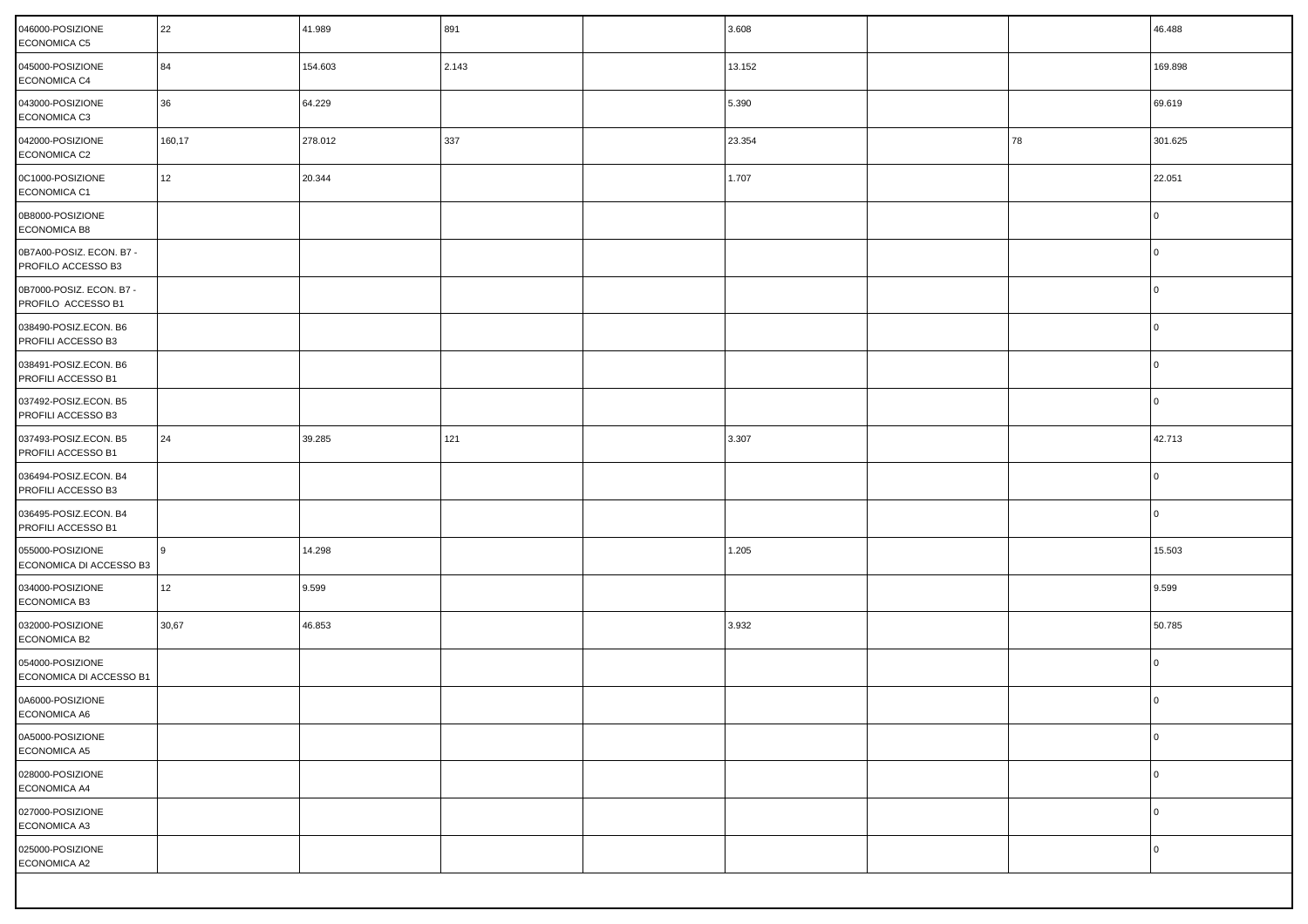| 046000-POSIZIONE<br><b>ECONOMICA C5</b>        | 22     | 41.989  | 891   | 3.608  |    | 46.488  |
|------------------------------------------------|--------|---------|-------|--------|----|---------|
| 045000-POSIZIONE<br>ECONOMICA C4               | 84     | 154.603 | 2.143 | 13.152 |    | 169.898 |
| 043000-POSIZIONE<br>ECONOMICA C3               | 36     | 64.229  |       | 5.390  |    | 69.619  |
| 042000-POSIZIONE<br>ECONOMICA C2               | 160,17 | 278.012 | 337   | 23.354 | 78 | 301.625 |
| 0C1000-POSIZIONE<br>ECONOMICA C1               | 12     | 20.344  |       | 1.707  |    | 22.051  |
| 0B8000-POSIZIONE<br>ECONOMICA B8               |        |         |       |        |    | l O     |
| 0B7A00-POSIZ. ECON. B7 -<br>PROFILO ACCESSO B3 |        |         |       |        |    | l O     |
| 0B7000-POSIZ. ECON. B7 -<br>PROFILO ACCESSO B1 |        |         |       |        |    | l O     |
| 038490-POSIZ.ECON. B6<br>PROFILI ACCESSO B3    |        |         |       |        |    | l O     |
| 038491-POSIZ.ECON. B6<br>PROFILI ACCESSO B1    |        |         |       |        |    | l O     |
| 037492-POSIZ.ECON. B5<br>PROFILI ACCESSO B3    |        |         |       |        |    | l O     |
| 037493-POSIZ.ECON. B5<br>PROFILI ACCESSO B1    | 24     | 39.285  | 121   | 3.307  |    | 42.713  |
| 036494-POSIZ.ECON. B4<br>PROFILI ACCESSO B3    |        |         |       |        |    | l O     |
| 036495-POSIZ.ECON. B4<br>PROFILI ACCESSO B1    |        |         |       |        |    | l O     |
| 055000-POSIZIONE<br>ECONOMICA DI ACCESSO B3    | 9      | 14.298  |       | 1.205  |    | 15.503  |
| 034000-POSIZIONE<br><b>ECONOMICA B3</b>        | 12     | 9.599   |       |        |    | 9.599   |
| 032000-POSIZIONE<br><b>ECONOMICA B2</b>        | 30,67  | 46.853  |       | 3.932  |    | 50.785  |
| 054000-POSIZIONE<br>ECONOMICA DI ACCESSO B1    |        |         |       |        |    | l O     |
| 0A6000-POSIZIONE<br>ECONOMICA A6               |        |         |       |        |    | 0       |
| 0A5000-POSIZIONE<br>ECONOMICA A5               |        |         |       |        |    | l 0     |
| 028000-POSIZIONE<br>ECONOMICA A4               |        |         |       |        |    | l 0     |
| 027000-POSIZIONE<br>ECONOMICA A3               |        |         |       |        |    | l 0     |
| 025000-POSIZIONE<br>ECONOMICA A2               |        |         |       |        |    | l 0     |
|                                                |        |         |       |        |    |         |